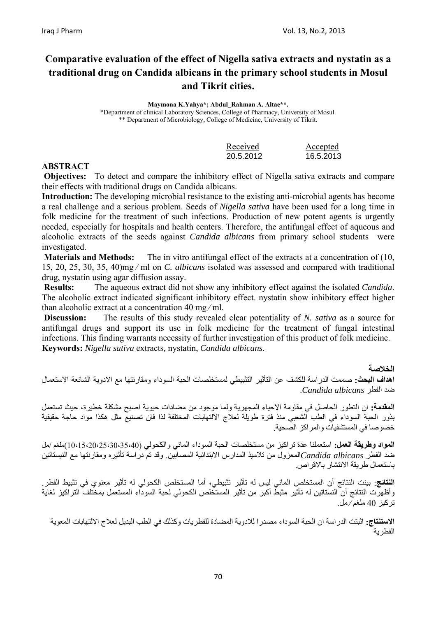# **Comparative evaluation of the effect of Nigella sativa extracts and nystatin as a traditional drug on Candida albicans in the primary school students in Mosul and Tikrit cities.**

**Maymona K.Yahya\*; Abdul\_Rahman A. Altae\*\*.**  \*Department of clinical Laboratory Sciences, College of Pharmacy, University of Mosul. \*\* Department of Microbiology, College of Medicine, University of Tikrit.

| Received  | Accepted  |
|-----------|-----------|
| 20.5.2012 | 16.5.2013 |

## **ABSTRACT**

**Objectives:** To detect and compare the inhibitory effect of Nigella sativa extracts and compare their effects with traditional drugs on Candida albicans.

**Introduction:** The developing microbial resistance to the existing anti-microbial agents has become a real challenge and a serious problem. Seeds of *Nigella sativa* have been used for a long time in folk medicine for the treatment of such infections. Production of new potent agents is urgently needed, especially for hospitals and health centers. Therefore, the antifungal effect of aqueous and alcoholic extracts of the seeds against *Candida albicans* from primary school students were investigated.

**Materials and Methods:** The in vitro antifungal effect of the extracts at a concentration of (10, 15, 20, 25, 30, 35, 40)mg ⁄ ml on *C. albicans* isolated was assessed and compared with traditional drug, nystatin using agar diffusion assay.

 **Results:** The aqueous extract did not show any inhibitory effect against the isolated *Candida*. The alcoholic extract indicated significant inhibitory effect. nystatin show inhibitory effect higher than alcoholic extract at a concentration 40 mg ⁄ ml.

**Discussion:** The results of this study revealed clear potentiality of *N. sativa* as a source for antifungal drugs and support its use in folk medicine for the treatment of fungal intestinal infections. This finding warrants necessity of further investigation of this product of folk medicine. **Keywords:** *Nigella sativa* extracts*,* nystatin, *Candida albicans*.

#### **الخلاصة**

**اهداف البحث:** صممت الدراسة للكشف عن التأثير التثبيطي لمستخلصات الحبة السوداء ومقارنتها مع الادوية الشائعة الاستعمال ضد الفطر *albicans Candida*.

**المقدمة:** ان التطور الحاصل في مقاومة الاحياء المجهرية ولما موجود من مضادات حيوية اصبح مشكلة خطيرة، حيث تستعمل بذور الحبة السوداء في الطب الشعبي منذ فترة طويلة لعلاج الالتهابات المختلفة لذا فان تصنيع مثل هكذا مواد حاجة حقيقية خصوصا في المستشفيات والمر اكز الصّحية.

**المواد وطريقة العمل:** استعملنا عدة تراآيز من مستخلصات الحبة السوداء المائي والكحولي (10،15،20،25،30،35،40)ملغم /مل ضد الفطر *albicans Candida*المعزول من تلاميذ المدارس الابتدائية المصابين. وقد تم دراسة تأثيره ومقارنتها مع النيستاتين باستعمال طريقة الانتشار بالاقراص.

**النتائج**: بينت النتائج أن المستخلص المائي ليس له تأثير تثبيطي، أما المستخلص الكحولي له تأثير معنوي في تثبيط الفطر. وأظهرت النتائج أن النستاتين له تأثير مثبطّ أكبر من تأثير المستخلص الكحولي لحبة السوداء المستعمل بمختلف التراكيز لغاية ترآيز 40 ملغم ⁄ مل.

**الاستنتاج:** اثبتت الدراسة ان الحبة السوداء مصدرا للادوية المضادة للفطريات وآذلك في الطب البديل لعلاج الالتهابات المعوية الفطرية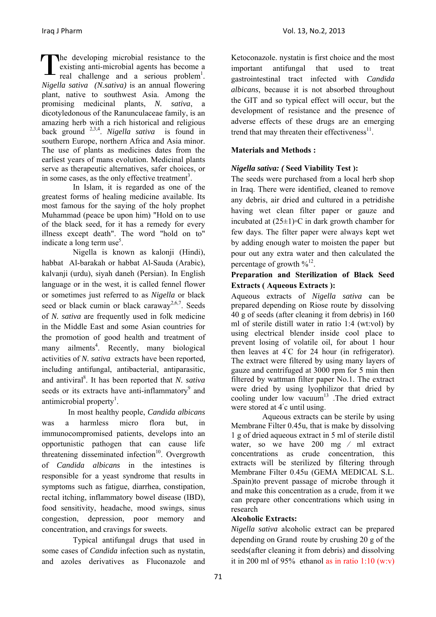The developing microbial resistance to the existing anti-microbial agents has become a real challenge and a serious problem<sup>1</sup>. existing anti-microbial agents has become a real challenge and a serious problem<sup>1</sup>. *Nigella sativa (N.sativa)* is an annual flowering plant, native to southwest Asia. Among the promising medicinal plants, *N. sativa*, a dicotyledonous of the Ranunculaceae family, is an amazing herb with a rich historical and religious back ground 2,3,4. *Nigella sativa* is found in southern Europe, northern Africa and Asia minor. The use of plants as medicines dates from the earliest years of mans evolution. Medicinal plants serve as therapeutic alternatives, safer choices, or in some cases, as the only effective treatment<sup>3</sup>.

In Islam, it is regarded as one of the greatest forms of healing medicine available. Its most famous for the saying of the holy prophet Muhammad (peace be upon him) "Hold on to use of the black seed, for it has a remedy for every illness except death". The word "hold on to" indicate a long term use<sup>5</sup>.

Nigella is known as kalonji (Hindi), habbat Al-barakah or habbat Al-Sauda (Arabic), kalvanji (urdu), siyah daneh (Persian). In English language or in the west, it is called fennel flower or sometimes just referred to as *Nigella* or black seed or black cumin or black caraway<sup>2,6,7</sup>. Seeds of *N. sativa* are frequently used in folk medicine in the Middle East and some Asian countries for the promotion of good health and treatment of many ailments<sup>4</sup>. Recently, many biological activities of *N. sativa* extracts have been reported, including antifungal, antibacterial, antiparasitic, and antiviral<sup>8</sup>. It has been reported that *N. sativa* seeds or its extracts have anti-inflammatory<sup>9</sup> and antimicrobial property<sup>1</sup>.

In most healthy people, *Candida albicans* was a harmless micro flora but, in immunocompromised patients, develops into an opportunistic pathogen that can cause life threatening disseminated infection<sup>10</sup>. Overgrowth of *Candida albicans* in the intestines is responsible for a yeast syndrome that results in symptoms such as fatigue, diarrhea, constipation, rectal itching, inflammatory bowel disease (IBD), food sensitivity, headache, mood swings, sinus congestion, depression, poor memory and concentration, and cravings for sweets.

Typical antifungal drugs that used in some cases of *Candida* infection such as nystatin, and azoles derivatives as Fluconazole and

Ketoconazole. nystatin is first choice and the most important antifungal that used to treat gastrointestinal tract infected with *Candida albicans*, because it is not absorbed throughout the GIT and so typical effect will occur, but the development of resistance and the presence of adverse effects of these drugs are an emerging trend that may threaten their effectiveness $^{11}$ .

## **Materials and Methods :**

## *Nigella sativa: (* **Seed Viability Test ):**

The seeds were purchased from a local herb shop in Iraq. There were identified, cleaned to remove any debris, air dried and cultured in a petridishe having wet clean filter paper or gauze and incubated at (25±1)◦C in dark growth chamber for few days. The filter paper were always kept wet by adding enough water to moisten the paper but pour out any extra water and then calculated the percentage of growth  $\frac{9}{12}$ .

## **Preparation and Sterilization of Black Seed Extracts ( Aqueous Extracts ):**

Aqueous extracts of *Nigella sativa* can be prepared depending on Riose route by dissolving 40 g of seeds (after cleaning it from debris) in 160 ml of sterile distill water in ratio 1:4 (wt:vol) by using electrical blender inside cool place to prevent losing of volatile oil, for about 1 hour then leaves at 4℃ for 24 hour (in refrigerator). The extract were filtered by using many layers of gauze and centrifuged at 3000 rpm for 5 min then filtered by wattman filter paper No.1. The extract were dried by using lyophilizor that dried by cooling under low vacuum<sup>13</sup>. The dried extract were stored at 4°c until using.

Aqueous extracts can be sterile by using Membrane Filter 0.45u, that is make by dissolving 1 g of dried aqueous extract in 5 ml of sterile distil water, so we have 200 mg / ml extract concentrations as crude concentration, this extracts will be sterilized by filtering through Membrane Filter 0.45u (GEMA MEDICAL S.L. .Spain)to prevent passage of microbe through it and make this concentration as a crude, from it we can prepare other concentrations which using in research

## **Alcoholic Extracts:**

*Nigella sativa* alcoholic extract can be prepared depending on Grand route by crushing 20 g of the seeds(after cleaning it from debris) and dissolving it in 200 ml of 95% ethanol as in ratio  $1:10 \text{ (w.v)}$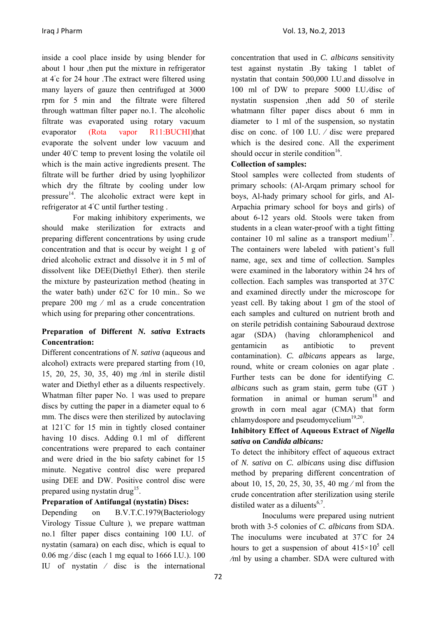inside a cool place inside by using blender for about 1 hour ,then put the mixture in refrigerator at 4◦ c for 24 hour .The extract were filtered using many layers of gauze then centrifuged at 3000 rpm for 5 min and the filtrate were filtered through wattman filter paper no.1. The alcoholic filtrate was evaporated using rotary vacuum evaporator (Rota vapor R11:BUCHI)that evaporate the solvent under low vacuum and under 40℃ temp to prevent losing the volatile oil which is the main active ingredients present. The filtrate will be further dried by using lyophilizor which dry the filtrate by cooling under low pressure<sup>14</sup>. The alcoholic extract were kept in refrigerator at 4◦ C until further testing .

For making inhibitory experiments, we should make sterilization for extracts and preparing different concentrations by using crude concentration and that is occur by weight 1 g of dried alcoholic extract and dissolve it in 5 ml of dissolvent like DEE(Diethyl Ether). then sterile the mixture by pasteurization method (heating in the water bath) under 62◦ C for 10 min.. So we prepare 200 mg ⁄ ml as a crude concentration which using for preparing other concentrations.

## **Preparation of Different** *N. sativa* **Extracts Concentration:**

Different concentrations of *N. sativa* (aqueous and alcohol) extracts were prepared starting from (10, 15, 20, 25, 30, 35, 40) mg ⁄ml in sterile distil water and Diethyl ether as a diluents respectively. Whatman filter paper No. 1 was used to prepare discs by cutting the paper in a diameter equal to 6 mm. The discs were then sterilized by autoclaving at 121◦ C for 15 min in tightly closed container having 10 discs. Adding 0.1 ml of different concentrations were prepared to each container and were dried in the bio safety cabinet for 15 minute. Negative control disc were prepared using DEE and DW. Positive control disc were prepared using nystatin drug<sup>15</sup>.

## **Preparation of Antifungal (nystatin) Discs:**

Depending on B.V.T.C.1979(Bacteriology Virology Tissue Culture ), we prepare wattman no.1 filter paper discs containing 100 I.U. of nystatin (samara) on each disc, which is equal to  $0.06$  mg/disc (each 1 mg equal to 1666 I.U.). 100 IU of nystatin ⁄ disc is the international

concentration that used in *C. albicans* sensitivity test against nystatin .By taking 1 tablet of nystatin that contain 500,000 I.U.and dissolve in 100 ml of DW to prepare 5000 I.U./disc of nystatin suspension ,then add 50 of sterile whatmann filter paper discs about 6 mm in diameter to 1 ml of the suspension, so nystatin disc on conc. of 100 I.U. ⁄ disc were prepared which is the desired conc. All the experiment should occur in sterile condition<sup>16</sup>.

## **Collection of samples:**

Stool samples were collected from students of primary schools: (Al-Arqam primary school for boys, Al-hady primary school for girls, and Al-Arpachia primary school for boys and girls) of about 6-12 years old. Stools were taken from students in a clean water-proof with a tight fitting container 10 ml saline as a transport medium<sup>17</sup>. The containers were labeled with patient's full name, age, sex and time of collection. Samples were examined in the laboratory within 24 hrs of collection. Each samples was transported at 37◦ C and examined directly under the microscope for yeast cell. By taking about 1 gm of the stool of each samples and cultured on nutrient broth and on sterile petridish containing Sabouraud dextrose agar (SDA) (having chloramphenicol and gentamicin as antibiotic to prevent contamination). *C. albicans* appears as large, round, white or cream colonies on agar plate . Further tests can be done for identifying *C. albicans* such as gram stain, germ tube (GT ) formation in animal or human serum<sup>18</sup> and growth in corn meal agar (CMA) that form chlamydospore and pseudomycelium $19,20$ .

## **Inhibitory Effect of Aqueous Extract of** *Nigella sativa* **on** *Candida albicans:*

To detect the inhibitory effect of aqueous extract of *N. sativa* on *C. albicans* using disc diffusion method by preparing different concentration of about 10, 15, 20, 25, 30, 35, 40 mg ⁄ ml from the crude concentration after sterilization using sterile distiled water as a diluents<sup>6,7</sup>.

Inoculums were prepared using nutrient broth with 3-5 colonies of *C. albicans* from SDA. The inoculums were incubated at 37°C for 24 hours to get a suspension of about  $415\times10^5$  cell ⁄ml by using a chamber. SDA were cultured with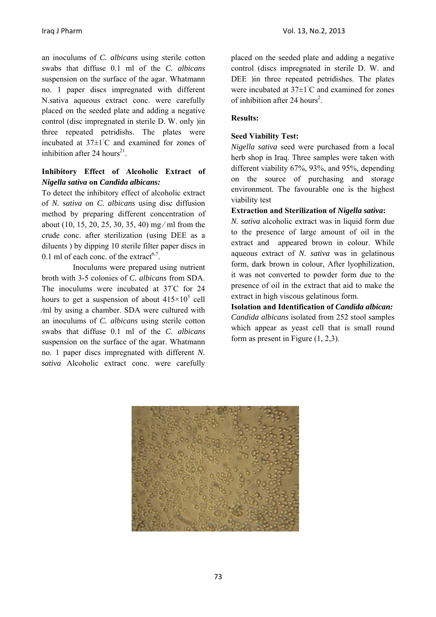Iraq J Pharm Vol. 13, No.2, 2013

an inoculums of *C. albicans* using sterile cotton swabs that diffuse 0.1 ml of the *C. albicans* suspension on the surface of the agar. Whatmann no. 1 paper discs impregnated with different N.sativa aqueous extract conc. were carefully placed on the seeded plate and adding a negative control (disc impregnated in sterile D. W. only )in three repeated petridishs. The plates were incubated at 37±1◦ C and examined for zones of inhibition after 24 hours<sup>21</sup>.

## **Inhibitory Effect of Alcoholic Extract of**  *Nigella sativa* **on** *Candida albicans:*

To detect the inhibitory effect of alcoholic extract of *N. sativa* on *C. albicans* using disc diffusion method by preparing different concentration of about (10, 15, 20, 25, 30, 35, 40) mg ⁄ ml from the crude conc. after sterilization (using DEE as a diluents ) by dipping 10 sterile filter paper discs in 0.1 ml of each conc. of the extract<sup>6,7</sup>.

Inoculums were prepared using nutrient broth with 3-5 colonies of *C. albicans* from SDA. The inoculums were incubated at 37°C for 24 hours to get a suspension of about  $415\times10^5$  cell ⁄ml by using a chamber. SDA were cultured with an inoculums of *C. albicans* using sterile cotton swabs that diffuse 0.1 ml of the *C. albicans* suspension on the surface of the agar. Whatmann no. 1 paper discs impregnated with different *N. sativa* Alcoholic extract conc. were carefully

placed on the seeded plate and adding a negative control (discs impregnated in sterile D. W. and DEE )in three repeated petridishes. The plates were incubated at 37±1◦ C and examined for zones of inhibition after 24 hours<sup>2</sup>.

## **Results:**

## **Seed Viability Test:**

*Nigella sativa* seed were purchased from a local herb shop in Iraq. Three samples were taken with different viability 67%, 93%, and 95%, depending on the source of purchasing and storage environment. The favourable one is the highest viability test

#### **Extraction and Sterilization of** *Nigella sativa***:**

*N. sativa* alcoholic extract was in liquid form due to the presence of large amount of oil in the extract and appeared brown in colour. While aqueous extract of *N. sativa* was in gelatinous form, dark brown in colour, After lyophilization, it was not converted to powder form due to the presence of oil in the extract that aid to make the extract in high viscous gelatinous form.

**Isolation and Identification of** *Candida albican: Candida albicans* isolated from 252 stool samples which appear as yeast cell that is small round form as present in Figure (1, 2,3).

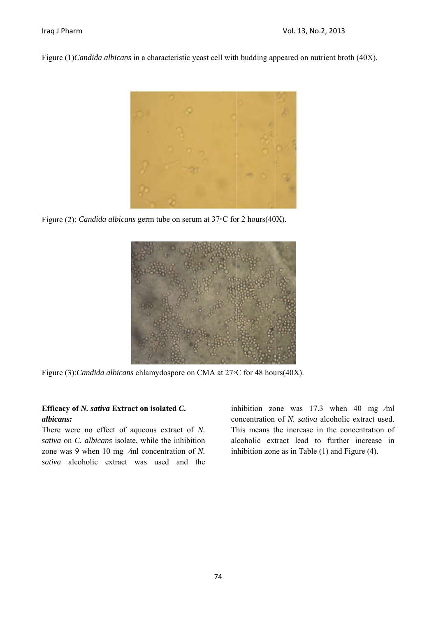Figure (1) *Candida albicans* in a characteristic yeast cell with budding appeared on nutrient broth (40X).



Figure (2): *Candida albicans* germ tube on serum at  $37$ °C for 2 hours(40X).



Figure (3): *Candida albicans* chlamydospore on CMA at 27◦C for 48 hours(40X).

## Efficacy of N. sativa Extract on isolated C. *albicans:*

There were no effect of aqueous extract of N. sativa on *C*. albicans isolate, while the inhibition zone was 9 when  $10 \text{ mg }$  /ml concentration of N. sativa alcoholic extract was used and the inhibition zone was  $17.3$  when  $40$  mg /ml concentration of *N. sativa* alcoholic extract used. This means the increase in the concentration of alcoholic extract lead to further increase in inhibition zone as in Table  $(1)$  and Figure  $(4)$ . l<br>l<br>n<br>n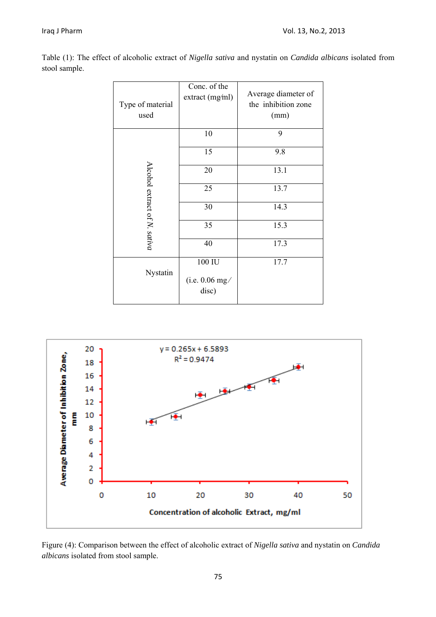| Table (1): The effect of alcoholic extract of <i>Nigella sativa</i> and nystatin on <i>Candida albicans</i> isolated from |  |  |  |  |  |  |
|---------------------------------------------------------------------------------------------------------------------------|--|--|--|--|--|--|
| stool sample.                                                                                                             |  |  |  |  |  |  |

|          | Type of material<br>used        | Conc. of the<br>extract (mg/ml)     | Average diameter of<br>the inhibition zone<br>(mm) |
|----------|---------------------------------|-------------------------------------|----------------------------------------------------|
|          |                                 | 10                                  | 9                                                  |
|          | Alcohol extract of $N$ . sativa | 15                                  | 9.8                                                |
|          |                                 | 20                                  | 13.1                                               |
|          |                                 | 25                                  | 13.7                                               |
|          |                                 | 30                                  | 14.3                                               |
|          |                                 | 35                                  | 15.3                                               |
|          |                                 | 40                                  | 17.3                                               |
| Nystatin |                                 | 100 IU<br>(i.e. $0.06$ mg/<br>disc) | 17.7                                               |



Figure (4): Comparison between the effect of alcoholic extract of *Nigella sativa* and nystatin on *Candida albicans* isolated from stool sample.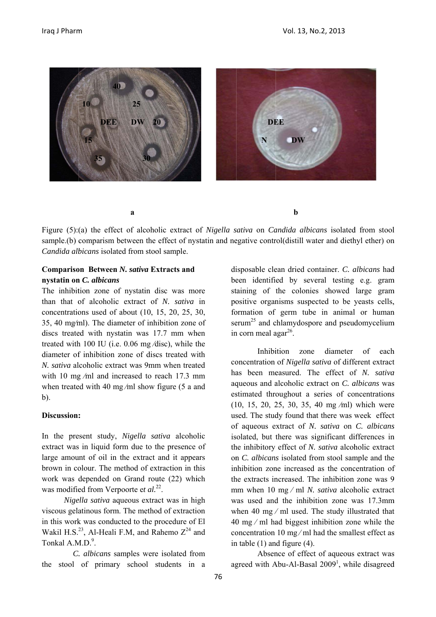

Figure (5):(a) the effect of alcoholic extract of *Nigella sativa* on *Candida albicans* isolated from stool sample.(b) comparism between the effect of nystatin and negative control(distill water and diethyl ether) on Candida albicans isolated from stool sample.

#### **Comparison Between** *N. sativa* **Extracts and nystatin on n** *C. albicans s*

The inhibition zone of nystatin disc was more than that of alcoholic extract of *N. sativa* in concentrations used of about  $(10, 15, 20, 25, 30,$ 35, 40 mg/ml). The diameter of inhibition zone of discs treated with nystatin was 17.7 mm when treated with 100 IU (i.e.  $0.06$  mg/disc), while the diameter of inhibition zone of discs treated with N. sativa alcoholic extract was 9mm when treated with 10 mg  $/ml$  and increased to reach 17.3 mm when treated with 40 mg/ml show figure  $(5$  a and b).

#### **Discussion: :**

In the present study, Nigella sativa alcoholic extract was in liquid form due to the presence of large amount of oil in the extract and it appears brown in colour. The method of extraction in this work was depended on Grand route (22) which was modified from Verpoorte et al.<sup>22</sup>.

Nigella sativa aqueous extract was in high viscous gelatinous form. The method of extraction in this work k was condu cted to the p procedure of El Wakil H.S.<sup>23</sup>, Al-Heali F.M, and Rahemo  $Z^{24}$  and Tonkal  $A.M.D.<sup>9</sup>$ .

C. albicans samples were isolated from the stool of primary school students in a disposable clean dried container. *C. albicans* had been identified by several testing e.g. gram staining of the colonies showed large gram positive organisms suspected to be yeasts cells, formation of germ tube in animal or human serum<sup>25</sup> and chlamydospore and pseudomycelium in corn meal agar $^{26}$ . ol on<br>ad m<br>ls, an<br>ch ct

concentration of *Nigella sativa* of different extract has been measured. The effect of N. sativa aqueous and alcoholic extract on *C. albicans* was estimated throughout a series of concentrations (1 10, 15, 20, 2 25, 30, 35, 4 40 mg ⁄ml) which were used. The study found that there was week effect of aqueous extract of *N. sativa* on *C. albicans* isolated, but there was significant differences in the inhibitory effect of *N. sativa* alcoholic extract on *C. albicans* isolated from stool sample and the inhibition zone increased as the concentration of the extracts increased. The inhibition zone was 9 mm when 10 mg/ml *N. sativa* alcoholic extract was used and the inhibition zone was 17.3mm when 40 mg  $/ml$  used. The study illustrated that  $40$  mg  $/$  ml had biggest inhibition zone while the co oncentration 10 mg ⁄ ml h had the small lest effect as in table  $(1)$  and figure  $(4)$ . **Inhibition** zone diameter of each s<br>set in ct ne of 9 ct m<br>at ne as as as as d

agreed with Abu-Al-Basal 2009<sup>1</sup>, while disagreed Absence of effect of aqueous extract was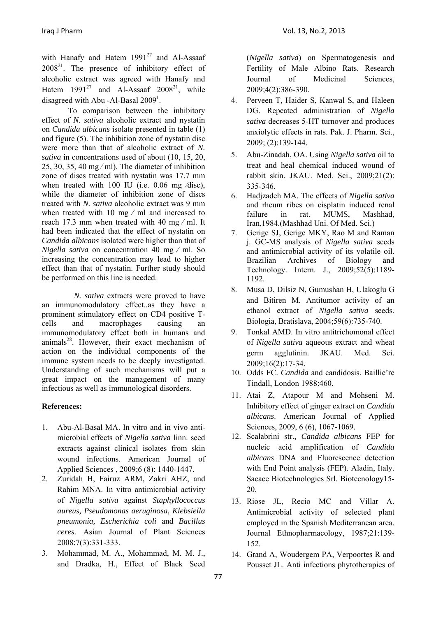with Hanafy and Hatem  $1991^{27}$  and Al-Assaaf  $2008<sup>21</sup>$ . The presence of inhibitory effect of alcoholic extract was agreed with Hanafy and Hatem  $1991^{27}$  and Al-Assaaf  $2008^{21}$ , while disagreed with Abu -Al-Basal  $2009<sup>1</sup>$ .

To comparison between the inhibitory effect of *N. sativa* alcoholic extract and nystatin on *Candida albicans* isolate presented in table (1) and figure (5). The inhibition zone of nystatin disc were more than that of alcoholic extract of *N. sativa* in concentrations used of about (10, 15, 20, 25, 30, 35, 40 mg/ml). The diameter of inhibition zone of discs treated with nystatin was 17.7 mm when treated with 100 IU (i.e. 0.06 mg /disc), while the diameter of inhibition zone of discs treated with *N. sativa* alcoholic extract was 9 mm when treated with 10 mg / ml and increased to reach 17.3 mm when treated with 40 mg ⁄ ml. It had been indicated that the effect of nystatin on *Candida albicans* isolated were higher than that of *Nigella sativa* on concentration 40 mg ⁄ ml. So increasing the concentration may lead to higher effect than that of nystatin. Further study should be performed on this line is needed.

*N. sativa* extracts were proved to have an immunomodulatory effect..as they have a prominent stimulatory effect on CD4 positive Tcells and macrophages causing an immunomodulatory effect both in humans and  $\text{animals}^{28}$ . However, their exact mechanism of action on the individual components of the immune system needs to be deeply investigated. Understanding of such mechanisms will put a great impact on the management of many infectious as well as immunological disorders.

## **References:**

- 1. Abu-Al-Basal MA. In vitro and in vivo antimicrobial effects of *Nigella sativa* linn. seed extracts against clinical isolates from skin wound infections. American Journal of Applied Sciences , 2009;6 (8): 1440-1447.
- 2. Zuridah H, Fairuz ARM, Zakri AHZ, and Rahim MNA. In vitro antimicrobial activity of *Nigella sativa* against *Staphyllococcus aureus, Pseudomonas aeruginosa, Klebsiella pneumonia, Escherichia coli* and *Bacillus ceres*. Asian Journal of Plant Sciences 2008;7(3):331-333.
- 3. Mohammad, M. A., Mohammad, M. M. J., and Dradka, H., Effect of Black Seed

(*Nigella sativa*) on Spermatogenesis and Fertility of Male Albino Rats. Research Journal of Medicinal Sciences, 2009;4(2):386-390.

- 4. Perveen T, Haider S, Kanwal S, and Haleen DG. Repeated administration of *Nigella sativa* decreases 5-HT turnover and produces anxiolytic effects in rats. Pak. J. Pharm. Sci., 2009; (2):139-144.
- 5. Abu-Zinadah, OA. Using *Nigella sativa* oil to treat and heal chemical induced wound of rabbit skin. JKAU. Med. Sci., 2009;21(2): 335-346.
- 6. Hadjzadeh MA. The effects of *Nigella sativa* and rheum ribes on cisplatin induced renal failure in rat. MUMS, Mashhad, Iran,1984.(Mashhad Uni. Of Med. Sci.)
- 7. Gerige SJ, Gerige MKY, Rao M and Raman j. GC-MS analysis of *Nigella sativa* seeds and antimicrobial activity of its volatile oil. Brazilian Archives of Biology and Technology. Intern. J., 2009;52(5):1189- 1192.
- 8. Musa D, Dilsiz N, Gumushan H, Ulakoglu G and Bitiren M. Antitumor activity of an ethanol extract of *Nigella sativa* seeds. Biologia, Bratislava, 2004;59(6):735-740.
- 9. Tonkal AMD. In vitro antitrichomonal effect of *Nigella sativa* aqueous extract and wheat germ agglutinin. JKAU. Med. Sci. 2009;16(2):17-34.
- 10. Odds FC. *Candida* and candidosis. Baillie're Tindall, London 1988:460.
- 11. Atai Z, Atapour M and Mohseni M. Inhibitory effect of ginger extract on *Candida albicans*. American Journal of Applied Sciences, 2009, 6 (6), 1067-1069.
- 12. Scalabrini str., *Candida albicans* FEP for nucleic acid amplification of *Candida albicans* DNA and Fluorescence detection with End Point analysis (FEP). Aladin, Italy. Sacace Biotechnologies Srl. Biotecnology15- 20.
- 13. Riose JL, Recio MC and Villar A. Antimicrobial activity of selected plant employed in the Spanish Mediterranean area. Journal Ethnopharmacology, 1987;21:139- 152.
- 14. Grand A, Woudergem PA, Verpoortes R and Pousset JL. Anti infections phytotherapies of